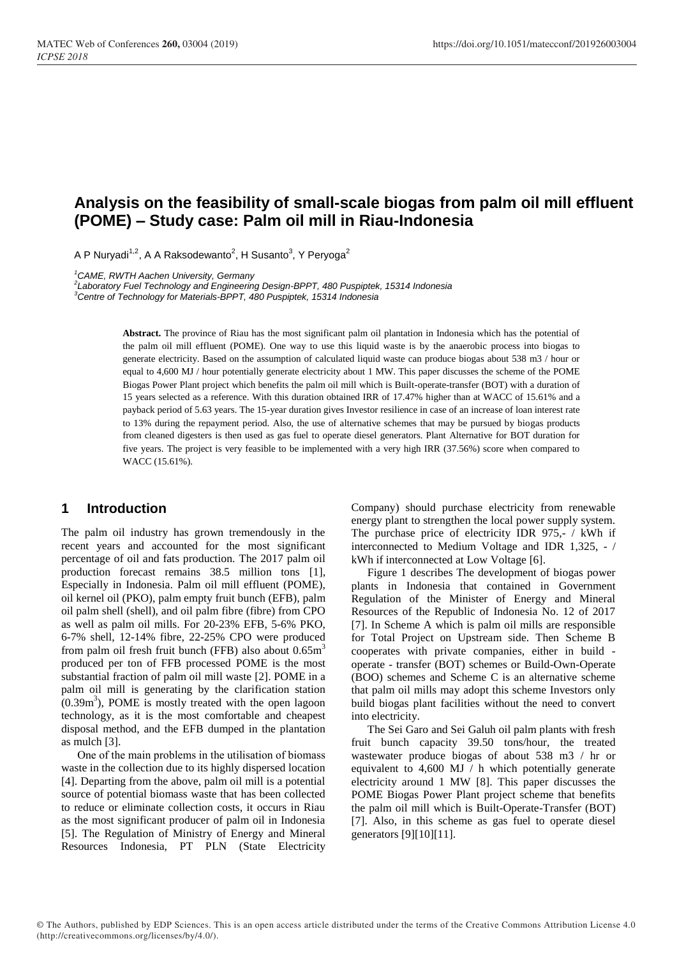# **Analysis on the feasibility of small-scale biogas from palm oil mill effluent (POME) – Study case: Palm oil mill in Riau-Indonesia**

A P Nuryadi<sup>1,2</sup>, A A Raksodewanto<sup>2</sup>, H Susanto<sup>3</sup>, Y Peryoga<sup>2</sup>

*<sup>1</sup>CAME, RWTH Aachen University, Germany*

*2 Laboratory Fuel Technology and Engineering Design-BPPT, 480 Puspiptek, 15314 Indonesia*

*<sup>3</sup>Centre of Technology for Materials-BPPT, 480 Puspiptek, 15314 Indonesia*

**Abstract.** The province of Riau has the most significant palm oil plantation in Indonesia which has the potential of the palm oil mill effluent (POME). One way to use this liquid waste is by the anaerobic process into biogas to generate electricity. Based on the assumption of calculated liquid waste can produce biogas about 538 m3 / hour or equal to 4,600 MJ / hour potentially generate electricity about 1 MW. This paper discusses the scheme of the POME Biogas Power Plant project which benefits the palm oil mill which is Built-operate-transfer (BOT) with a duration of 15 years selected as a reference. With this duration obtained IRR of 17.47% higher than at WACC of 15.61% and a payback period of 5.63 years. The 15-year duration gives Investor resilience in case of an increase of loan interest rate to 13% during the repayment period. Also, the use of alternative schemes that may be pursued by biogas products from cleaned digesters is then used as gas fuel to operate diesel generators. Plant Alternative for BOT duration for five years. The project is very feasible to be implemented with a very high IRR (37.56%) score when compared to WACC (15.61%).

### **1 Introduction**

The palm oil industry has grown tremendously in the recent years and accounted for the most significant percentage of oil and fats production. The 2017 palm oil production forecast remains 38.5 million tons [1], Especially in Indonesia. Palm oil mill effluent (POME), oil kernel oil (PKO), palm empty fruit bunch (EFB), palm oil palm shell (shell), and oil palm fibre (fibre) from CPO as well as palm oil mills. For 20-23% EFB, 5-6% PKO, 6-7% shell, 12-14% fibre, 22-25% CPO were produced from palm oil fresh fruit bunch (FFB) also about  $0.65m<sup>3</sup>$ produced per ton of FFB processed POME is the most substantial fraction of palm oil mill waste [2]. POME in a palm oil mill is generating by the clarification station  $(0.39m<sup>3</sup>)$ , POME is mostly treated with the open lagoon technology, as it is the most comfortable and cheapest disposal method, and the EFB dumped in the plantation as mulch [3].

One of the main problems in the utilisation of biomass waste in the collection due to its highly dispersed location [4]. Departing from the above, palm oil mill is a potential source of potential biomass waste that has been collected to reduce or eliminate collection costs, it occurs in Riau as the most significant producer of palm oil in Indonesia [5]. The Regulation of Ministry of Energy and Mineral Resources Indonesia, PT PLN (State Electricity Company) should purchase electricity from renewable energy plant to strengthen the local power supply system. The purchase price of electricity IDR 975,- / kWh if interconnected to Medium Voltage and IDR 1,325, - / kWh if interconnected at Low Voltage [6].

Figure 1 describes The development of biogas power plants in Indonesia that contained in Government Regulation of the Minister of Energy and Mineral Resources of the Republic of Indonesia No. 12 of 2017 [7]. In Scheme A which is palm oil mills are responsible for Total Project on Upstream side. Then Scheme B cooperates with private companies, either in build operate - transfer (BOT) schemes or Build-Own-Operate (BOO) schemes and Scheme C is an alternative scheme that palm oil mills may adopt this scheme Investors only build biogas plant facilities without the need to convert into electricity.

The Sei Garo and Sei Galuh oil palm plants with fresh fruit bunch capacity 39.50 tons/hour, the treated wastewater produce biogas of about 538 m3 / hr or equivalent to 4,600 MJ / h which potentially generate electricity around 1 MW [8]. This paper discusses the POME Biogas Power Plant project scheme that benefits the palm oil mill which is Built-Operate-Transfer (BOT) [7]. Also, in this scheme as gas fuel to operate diesel generators [9][10][11].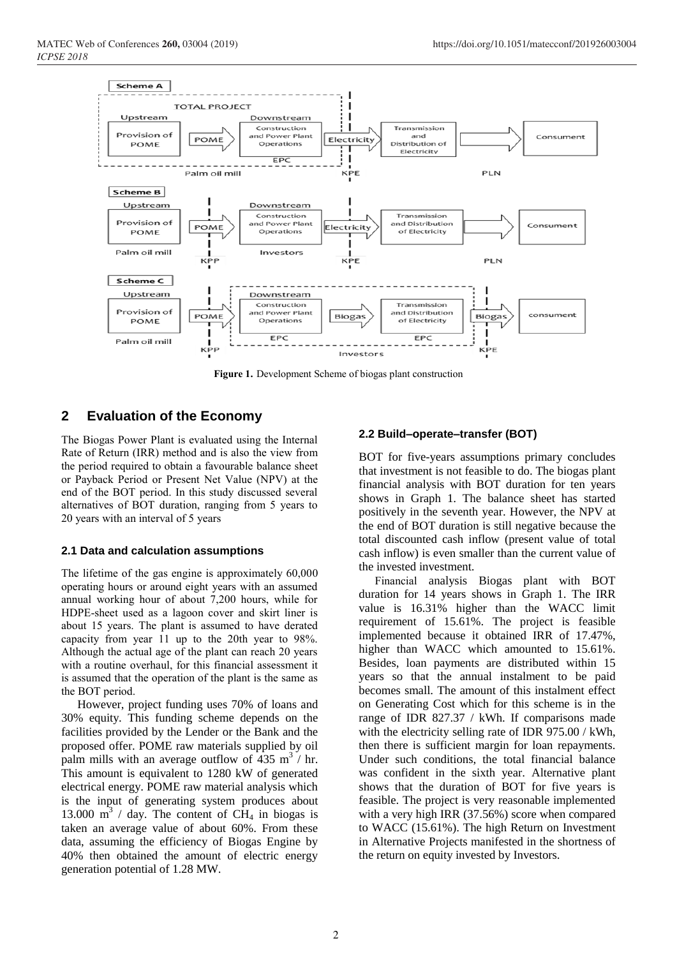

**Figure 1.** Development Scheme of biogas plant construction

## **2 Evaluation of the Economy**

The Biogas Power Plant is evaluated using the Internal Rate of Return (IRR) method and is also the view from the period required to obtain a favourable balance sheet or Payback Period or Present Net Value (NPV) at the end of the BOT period. In this study discussed several alternatives of BOT duration, ranging from 5 years to 20 years with an interval of 5 years

#### **2.1 Data and calculation assumptions**

The lifetime of the gas engine is approximately 60,000 operating hours or around eight years with an assumed annual working hour of about 7,200 hours, while for HDPE-sheet used as a lagoon cover and skirt liner is about 15 years. The plant is assumed to have derated capacity from year 11 up to the 20th year to 98%. Although the actual age of the plant can reach 20 years with a routine overhaul, for this financial assessment it is assumed that the operation of the plant is the same as the BOT period.

However, project funding uses 70% of loans and 30% equity. This funding scheme depends on the facilities provided by the Lender or the Bank and the proposed offer. POME raw materials supplied by oil palm mills with an average outflow of  $435 \text{ m}^3$  / hr. This amount is equivalent to 1280 kW of generated electrical energy. POME raw material analysis which is the input of generating system produces about 13.000  $\text{m}^3$  / day. The content of CH<sub>4</sub> in biogas is taken an average value of about 60%. From these data, assuming the efficiency of Biogas Engine by 40% then obtained the amount of electric energy generation potential of 1.28 MW.

#### **2.2 Build–operate–transfer (BOT)**

BOT for five-years assumptions primary concludes that investment is not feasible to do. The biogas plant financial analysis with BOT duration for ten years shows in Graph 1. The balance sheet has started positively in the seventh year. However, the NPV at the end of BOT duration is still negative because the total discounted cash inflow (present value of total cash inflow) is even smaller than the current value of the invested investment.

Financial analysis Biogas plant with BOT duration for 14 years shows in Graph 1. The IRR value is 16.31% higher than the WACC limit requirement of 15.61%. The project is feasible implemented because it obtained IRR of 17.47%, higher than WACC which amounted to 15.61%. Besides, loan payments are distributed within 15 years so that the annual instalment to be paid becomes small. The amount of this instalment effect on Generating Cost which for this scheme is in the range of IDR 827.37 / kWh. If comparisons made with the electricity selling rate of IDR 975.00 / kWh, then there is sufficient margin for loan repayments. Under such conditions, the total financial balance was confident in the sixth year. Alternative plant shows that the duration of BOT for five years is feasible. The project is very reasonable implemented with a very high IRR (37.56%) score when compared to WACC (15.61%). The high Return on Investment in Alternative Projects manifested in the shortness of the return on equity invested by Investors.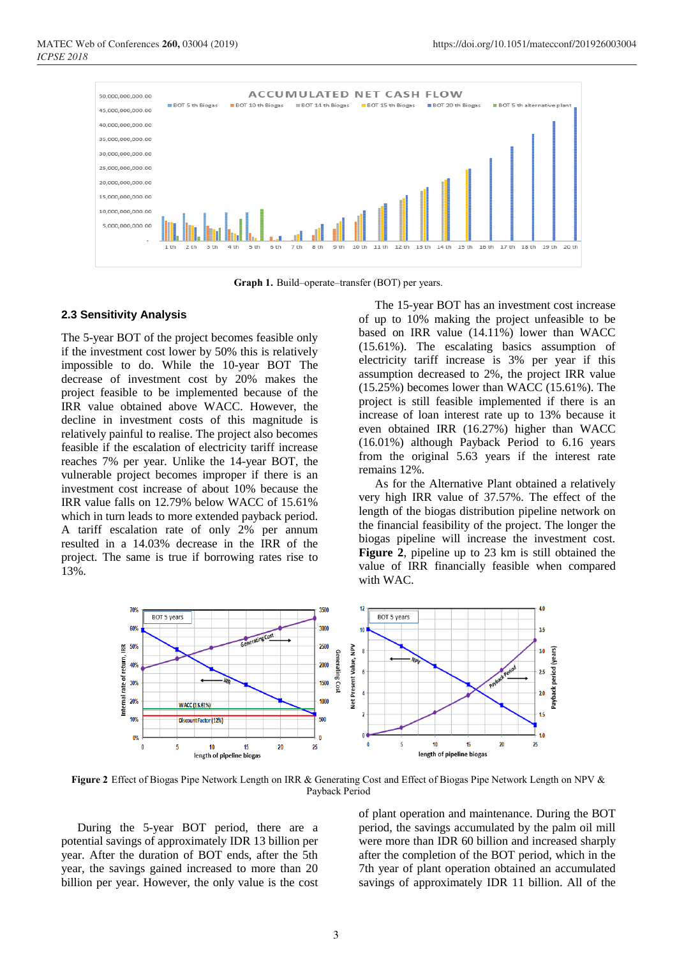

**Graph 1.** Build–operate–transfer (BOT) per years.

#### **2.3 Sensitivity Analysis**

The 5-year BOT of the project becomes feasible only if the investment cost lower by 50% this is relatively impossible to do. While the 10-year BOT The decrease of investment cost by 20% makes the project feasible to be implemented because of the IRR value obtained above WACC. However, the decline in investment costs of this magnitude is relatively painful to realise. The project also becomes feasible if the escalation of electricity tariff increase reaches 7% per year. Unlike the 14-year BOT, the vulnerable project becomes improper if there is an investment cost increase of about 10% because the IRR value falls on 12.79% below WACC of 15.61% which in turn leads to more extended payback period. A tariff escalation rate of only 2% per annum resulted in a 14.03% decrease in the IRR of the project. The same is true if borrowing rates rise to 13%.

The 15-year BOT has an investment cost increase of up to 10% making the project unfeasible to be based on IRR value (14.11%) lower than WACC (15.61%). The escalating basics assumption of electricity tariff increase is 3% per year if this assumption decreased to 2%, the project IRR value (15.25%) becomes lower than WACC (15.61%). The project is still feasible implemented if there is an increase of loan interest rate up to 13% because it even obtained IRR (16.27%) higher than WACC (16.01%) although Payback Period to 6.16 years from the original 5.63 years if the interest rate remains 12%.

As for the Alternative Plant obtained a relatively very high IRR value of 37.57%. The effect of the length of the biogas distribution pipeline network on the financial feasibility of the project. The longer the biogas pipeline will increase the investment cost. **Figure 2**, pipeline up to 23 km is still obtained the value of IRR financially feasible when compared with WAC.



**Figure 2** Effect of Biogas Pipe Network Length on IRR & Generating Cost and Effect of Biogas Pipe Network Length on NPV & Payback Period

During the 5-year BOT period, there are a potential savings of approximately IDR 13 billion per year. After the duration of BOT ends, after the 5th year, the savings gained increased to more than 20 billion per year. However, the only value is the cost of plant operation and maintenance. During the BOT period, the savings accumulated by the palm oil mill were more than IDR 60 billion and increased sharply after the completion of the BOT period, which in the 7th year of plant operation obtained an accumulated savings of approximately IDR 11 billion. All of the